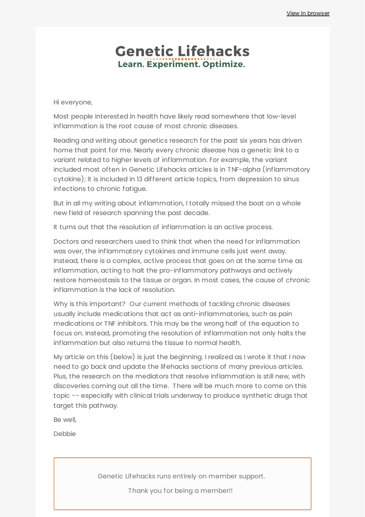## **Genetic Lifehacks** Learn. Experiment. Optimize.

Hi everyone,

Most people interested in health have likely read somewhere that low-level inflammation is the root cause of most chronic diseases.

Reading and writing about genetics research for the past six years has driven home that point for me. Nearly every chronic disease has a genetic link to a variant related to higher levels of inflammation. For example, the variant included most often in Genetic Lifehacks articles is in TNF-alpha (inflammatory cytokine); it is included in 13 different article topics, from depression to sinus infections to chronic fatigue.

But in all my writing about inflammation, I totally missed the boat on a whole new field of research spanning the past decade.

It turns out that the resolution of inflammation is an active process.

Doctors and researchers used to think that when the need for inflammation was over, the inflammatory cytokines and immune cells just went away. Instead, there is a complex, active process that goes on at the same time as inflammation, acting to halt the pro-inflammatory pathways and actively restore homeostasis to the tissue or organ. In most cases, the cause of chronic inflammation is the lack of resolution.

Why is this important? Our current methods of tackling chronic diseases usually include medications that act as anti-inflammatories, such as pain medications or TNF inhibitors. This may be the wrong half of the equation to focus on. Instead, promoting the resolution of inflammation not only halts the inflammation but also returns the tissue to normal health.

My article on this (below) is just the beginning. I realized as I wrote it that I now need to go back and update the lifehacks sections of many previous articles. Plus, the research on the mediators that resolve inflammation is still new, with discoveries coming out all the time. There will be much more to come on this topic -- especially with clinical trials underway to produce synthetic drugs that target this pathway.

Be well,

Debbie

Genetic Lifehacks runs entirely on member support.

Thank you for being a member!!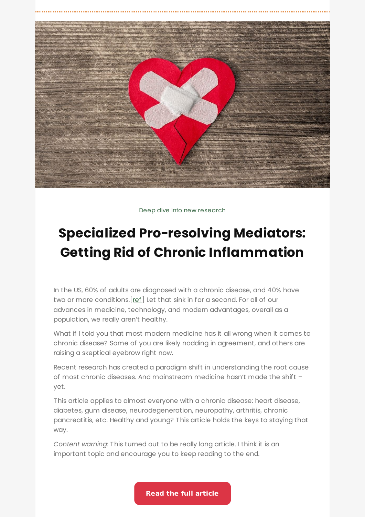

Deep dive into new research

# **Specialized Pro-resolving Mediators: Getting Rid of Chronic [Inflammation](https://www.geneticlifehacks.com/specialized-pro-resolving-mediators-getting-rid-of-chronic-inflammation/)**

In the US, 60% of adults are diagnosed with a chronic disease, and 40% have two or more conditions.[[ref\]](https://www.cdc.gov/chronicdisease/resources/infographic/chronic-diseases.htm) Let that sink in for a second. For all of our advances in medicine, technology, and modern advantages, overall as a population, we really aren't healthy.

What if I told you that most modern medicine has it all wrong when it comes to chronic disease? Some of you are likely nodding in agreement, and others are raising a skeptical eyebrow right now.

Recent research has created a paradigm shift in understanding the root cause of most chronic diseases. And mainstream medicine hasn't made the shift – yet.

This article applies to almost everyone with a chronic disease: heart disease, diabetes, gum disease, neurodegeneration, neuropathy, arthritis, chronic pancreatitis, etc. Healthy and young? This article holds the keys to staying that way.

*Content warning:* This turned out to be really long article. I think it is an important topic and encourage you to keep reading to the end.